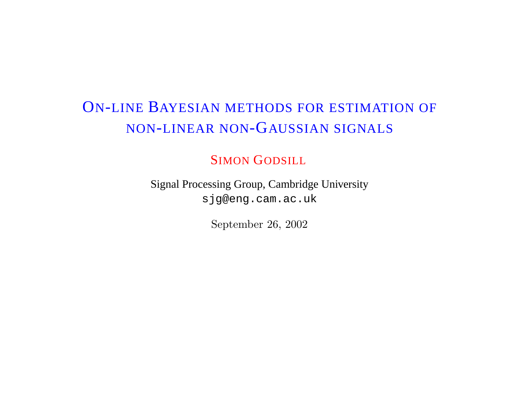# ON-LINE BAYESIAN METHODS FOR ESTIMATION OF NON-LINEAR NON-GAUSSIAN SIGNALS

#### SIMON GODSILL

Signal Processing Group, Cambridge University sjg@eng.cam.ac.uk

September 26, 2002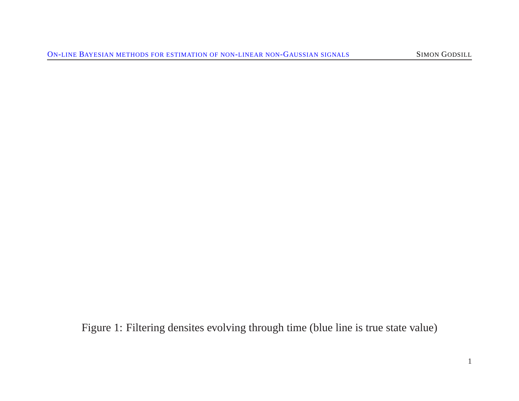Figure 1: Filtering densites evolving through time (blue line is true state value)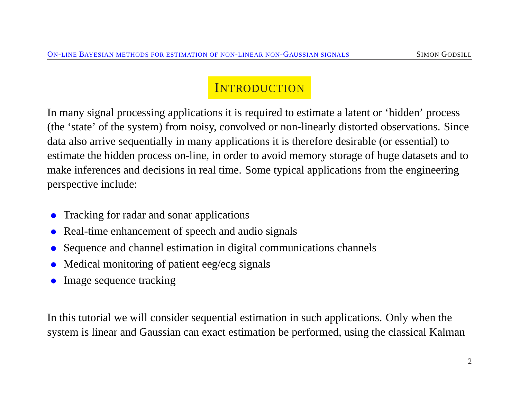### **INTRODUCTION**

In many signal processing applications it is required to estimate a latent or 'hidden' process (the 'state' of the system) from noisy, convolved or non-linearly distorted observations. Since data also arrive sequentially in many applications it is therefore desirable (or essential) to estimate the hidden process on-line, in order to avoid memory storage of huge datasets and to make inferences and decisions in real time. Some typical applications from the engineering perspective include:

- Tracking for radar and sonar applications
- Real-time enhancement of speech and audio signals
- Sequence and channel estimation in digital communications channels
- Medical monitoring of patient eeg/ecg signals
- Image sequence tracking

In this tutorial we will consider sequential estimation in such applications. Only when the system is linear and Gaussian can exact estimation be performed, using the classical Kalman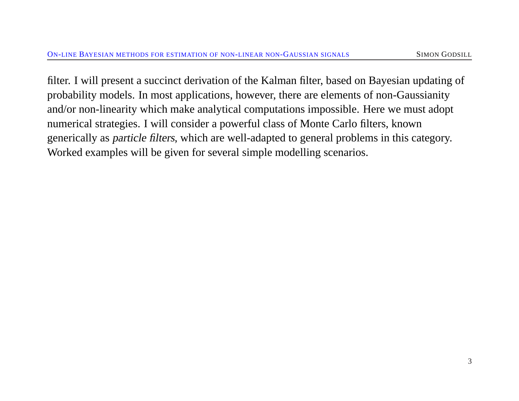filter. I will present a succinct derivation of the Kalman filter, based on Bayesian updating of probability models. In most applications, however, there are elements of non-Gaussianity and/or non-linearity which make analytical computations impossible. Here we must adopt numerical strategies. I will consider a powerful class of Monte Carlo filters, known generically as particle filters, which are well-adapted to general problems in this category. Worked examples will be given for several simple modelling scenarios.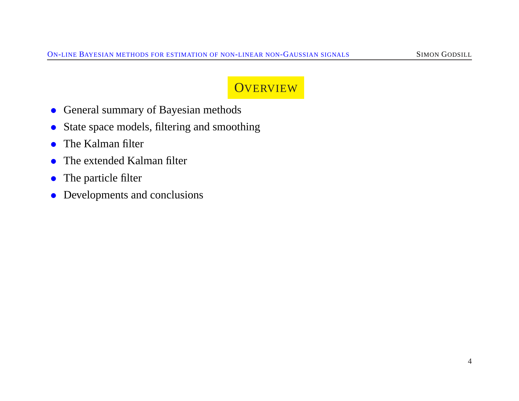### **OVERVIEW**

- General summary of Bayesian methods
- State space models, filtering and smoothing
- The Kalman filter
- The extended Kalman filter
- The particle filter
- Developments and conclusions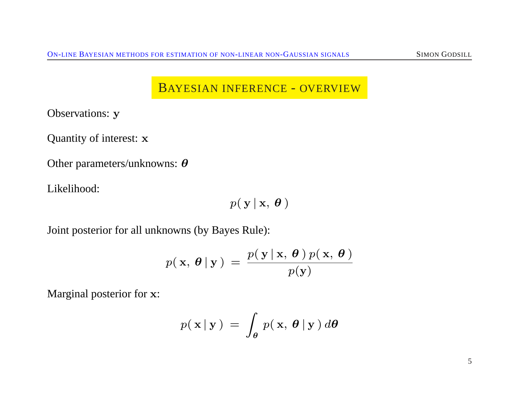### BAYESIAN INFERENCE - OVERVIEW

Observations: y

Quantity of interest: x

Other parameters/unknowns: θ

Likelihood:

$$
p(\mathbf{y} | \mathbf{x}, \boldsymbol{\theta})
$$

Joint posterior for all unknowns (by Bayes Rule):

$$
p(\mathbf{x}, \boldsymbol{\theta} | \mathbf{y}) = \frac{p(\mathbf{y} | \mathbf{x}, \boldsymbol{\theta}) p(\mathbf{x}, \boldsymbol{\theta})}{p(\mathbf{y})}
$$

Marginal posterior for x:

$$
p(\mathbf{x} | \mathbf{y}) = \int_{\theta} p(\mathbf{x}, \theta | \mathbf{y}) d\theta
$$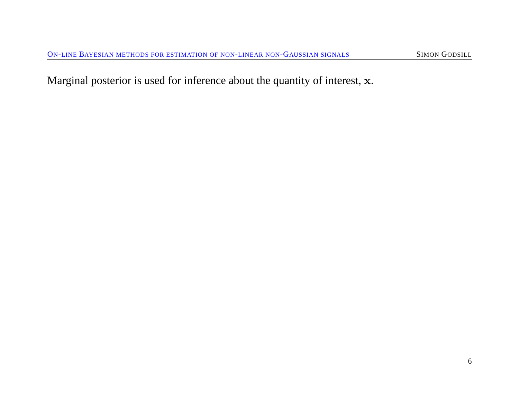Marginal posterior is used for inference about the quantity of interest, x.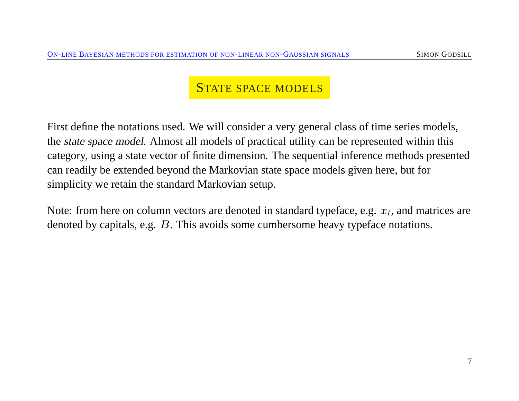#### STATE SPACE MODELS

First define the notations used. We will consider a very general class of time series models, the state space model. Almost all models of practical utility can be represented within this category, using a state vector of finite dimension. The sequential inference methods presented can readily be extended beyond the Markovian state space models given here, but for simplicity we retain the standard Markovian setup.

Note: from here on column vectors are denoted in standard typeface, e.g.  $x_t$ , and matrices are denoted by capitals, e.g. B. This avoids some cumbersome heavy typeface notations.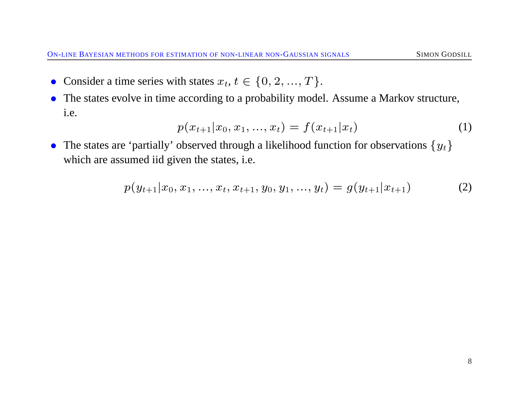- Consider a time series with states  $x_t, t \in \{0, 2, ..., T\}$ .
- The states evolve in time according to a probability model. Assume a Markov structure, i.e.

$$
p(x_{t+1}|x_0, x_1, ..., x_t) = f(x_{t+1}|x_t)
$$
\n(1)

• The states are 'partially' observed through a likelihood function for observations  $\{y_t\}$ which are assumed iid given the states, i.e.

$$
p(y_{t+1}|x_0, x_1, \ldots, x_t, x_{t+1}, y_0, y_1, \ldots, y_t) = g(y_{t+1}|x_{t+1})
$$
\n(2)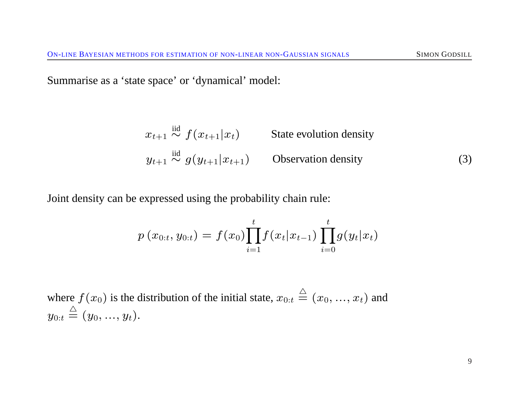Summarise as a 'state space' or 'dynamical' model:

$$
x_{t+1} \stackrel{\text{iid}}{\sim} f(x_{t+1}|x_t) \qquad \text{State evolution density}
$$
  

$$
y_{t+1} \stackrel{\text{iid}}{\sim} g(y_{t+1}|x_{t+1}) \qquad \text{Observation density}
$$
 (3)

Joint density can be expressed using the probability chain rule:

$$
p(x_{0:t}, y_{0:t}) = f(x_0) \prod_{i=1}^t f(x_t | x_{t-1}) \prod_{i=0}^t g(y_t | x_t)
$$

where  $f(x_0)$  is the distribution of the initial state,  $x_{0:t} \stackrel{\triangle}{=} (x_0, ..., x_t)$  and  ${y_{0:t}} \stackrel{\triangle}{=} (y_0,...,y_t).$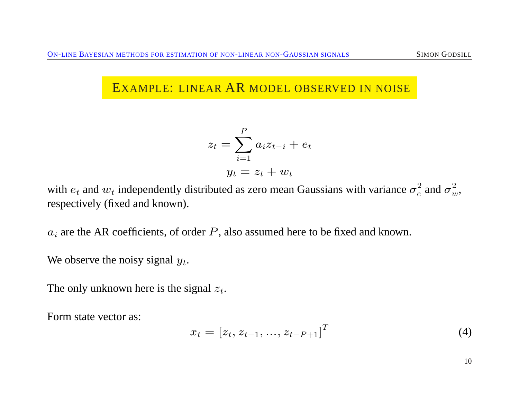### EXAMPLE: LINEAR AR MODEL OBSERVED IN NOISE

$$
z_t = \sum_{i=1}^{P} a_i z_{t-i} + e_t
$$

$$
y_t = z_t + w_t
$$

with  $e_t$  and  $w_t$  independently distributed as zero mean Gaussians with variance  $\sigma_e^2$  $\frac{2}{e}$  and  $\sigma_w^2$ , respectively (fixed and known).

 $a_i$  are the AR coefficients, of order  $P$ , also assumed here to be fixed and known.

We observe the noisy signal  $y_t$ .

The only unknown here is the signal  $z_t$ .

Form state vector as:

$$
x_t = [z_t, z_{t-1}, \dots, z_{t-P+1}]^T
$$
\n(4)

10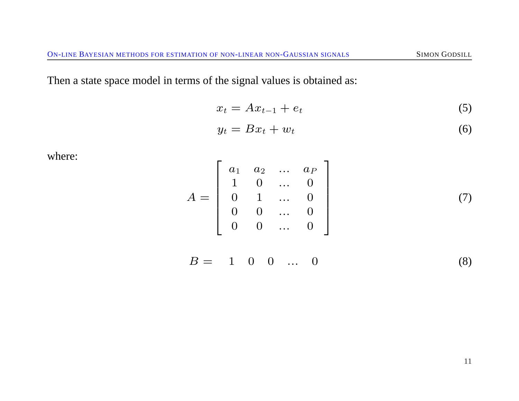Then a state space model in terms of the signal values is obtained as:

$$
x_t = Ax_{t-1} + e_t \tag{5}
$$

$$
y_t = Bx_t + w_t \tag{6}
$$

where:

$$
A = \left[ \begin{array}{cccc} a_1 & a_2 & \dots & a_P \\ 1 & 0 & \dots & 0 \\ 0 & 1 & \dots & 0 \\ 0 & 0 & \dots & 0 \\ 0 & 0 & \dots & 0 \end{array} \right] \tag{7}
$$

$$
B = 1 \quad 0 \quad 0 \quad \dots \quad 0 \tag{8}
$$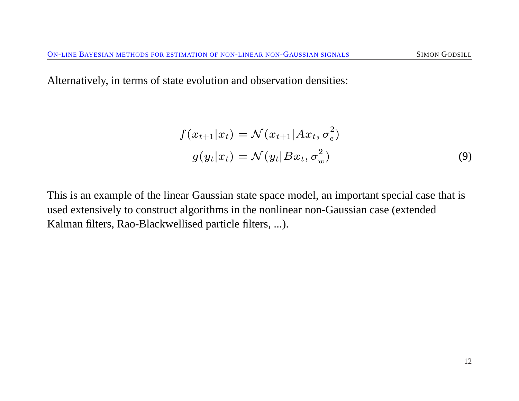Alternatively, in terms of state evolution and observation densities:

$$
f(x_{t+1}|x_t) = \mathcal{N}(x_{t+1}|Ax_t, \sigma_e^2)
$$
  

$$
g(y_t|x_t) = \mathcal{N}(y_t|Bx_t, \sigma_w^2)
$$
 (9)

This is an example of the linear Gaussian state space model, an important special case that is used extensively to construct algorithms in the nonlinear non-Gaussian case (extended Kalman filters, Rao-Blackwellised particle filters, ...).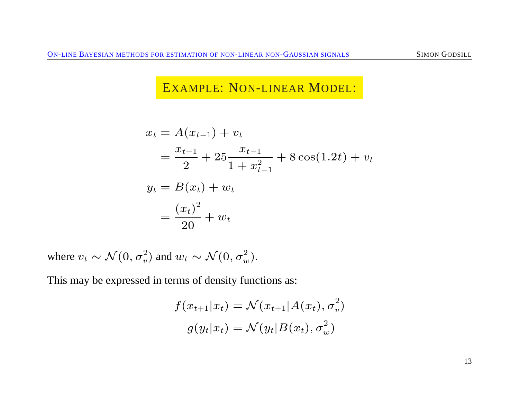### EXAMPLE: NON-LINEAR MODEL:

$$
x_t = A(x_{t-1}) + v_t
$$
  
=  $\frac{x_{t-1}}{2} + 25 \frac{x_{t-1}}{1 + x_{t-1}^2} + 8 \cos(1.2t) + v_t$   

$$
y_t = B(x_t) + w_t
$$
  
=  $\frac{(x_t)^2}{20} + w_t$ 

where  $v_t \sim \mathcal{N}(0, \sigma_v^2)$  and  $w_t \sim \mathcal{N}(0, \sigma_w^2)$ .

This may be expressed in terms of density functions as:

$$
f(x_{t+1}|x_t) = \mathcal{N}(x_{t+1}|A(x_t), \sigma_v^2)
$$

$$
g(y_t|x_t) = \mathcal{N}(y_t|B(x_t), \sigma_w^2)
$$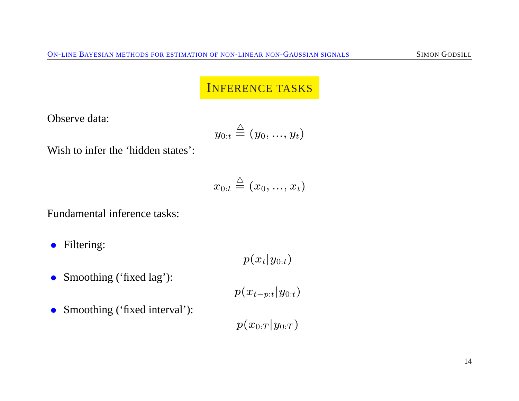#### INFERENCE TASKS

Observe data:

$$
y_{0:t} \stackrel{\triangle}{=} (y_0,...,y_t)
$$

Wish to infer the 'hidden states':

$$
x_{0:t} \stackrel{\triangle}{=} (x_0,...,x_t)
$$

Fundamental inference tasks:

• Filtering:

 $p(x_t|y_{0:t})$ 

• Smoothing ('fixed lag'):

 $p(x_{t-p:t}|y_{0:t})$ 

• Smoothing ('fixed interval'):

 $p(x_{0:T} | y_{0:T})$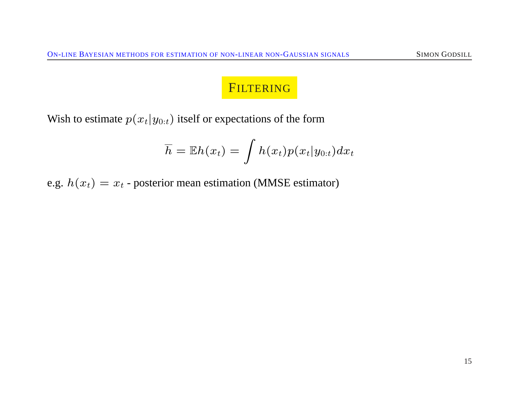## FILTERING

Wish to estimate  $p(x_t|y_{0:t})$  itself or expectations of the form

$$
\overline{h} = \mathbb{E}h(x_t) = \int h(x_t) p(x_t | y_{0:t}) dx_t
$$

e.g.  $h(x_t) = x_t$  - posterior mean estimation (MMSE estimator)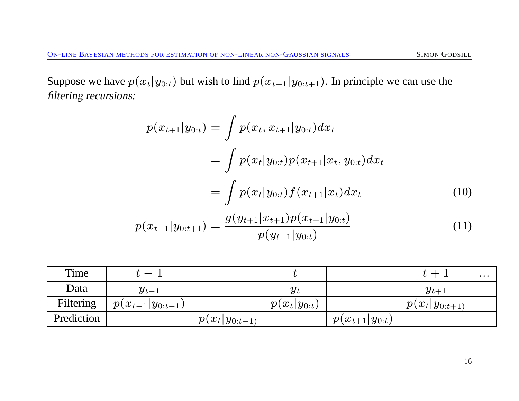Suppose we have  $p(x_t|y_{0:t})$  but wish to find  $p(x_{t+1}|y_{0:t+1})$ . In principle we can use the filtering recursions:

$$
p(x_{t+1}|y_{0:t}) = \int p(x_t, x_{t+1}|y_{0:t}) dx_t
$$
  
= 
$$
\int p(x_t|y_{0:t}) p(x_{t+1}|x_t, y_{0:t}) dx_t
$$
  
= 
$$
\int p(x_t|y_{0:t}) f(x_{t+1}|x_t) dx_t
$$
 (10)

$$
p(x_{t+1}|y_{0:t+1}) = \frac{g(y_{t+1}|x_{t+1})p(x_{t+1}|y_{0:t})}{p(y_{t+1}|y_{0:t})}
$$
\n(11)

| Time       |                        |                    |                  |                      |                    | $\cdots$ |
|------------|------------------------|--------------------|------------------|----------------------|--------------------|----------|
| Data       | $y_{t-1}$              |                    | $y_t$            |                      | $y_{t+1}$          |          |
| Filtering  | $p(x_{t-1} y_{0:t-1})$ |                    | $p(x_t y_{0:t})$ |                      | $p(x_t y_{0:t+1})$ |          |
| Prediction |                        | $p(x_t y_{0:t-1})$ |                  | $p(x_{t+1} y_{0:t})$ |                    |          |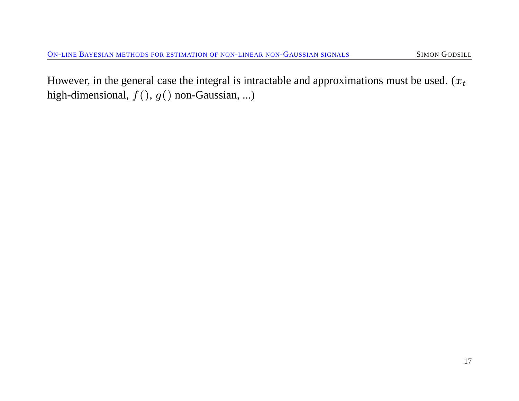However, in the general case the integral is intractable and approximations must be used.  $(x_t)$ high-dimensional,  $f($ ,  $g()$  non-Gaussian, ...)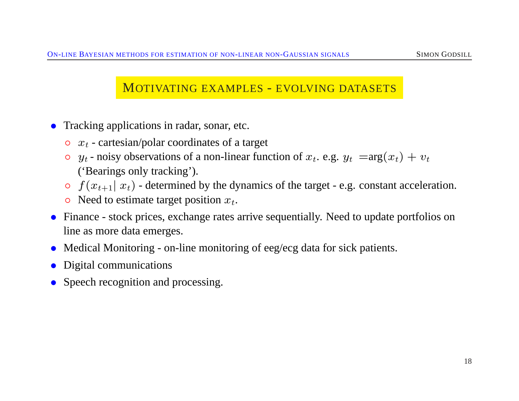#### MOTIVATING EXAMPLES - EVOLVING DATASETS

- Tracking applications in radar, sonar, etc.
	- $\circ$   $x_t$  cartesian/polar coordinates of a target
	- $\circ$  y<sub>t</sub> noisy observations of a non-linear function of  $x_t$ . e.g.  $y_t = arg(x_t) + v_t$ ('Bearings only tracking').
	- $\circ$   $f(x_{t+1} | x_t)$  determined by the dynamics of the target e.g. constant acceleration.
	- $\circ$  Need to estimate target position  $x_t$ .
- Finance stock prices, exchange rates arrive sequentially. Need to update portfolios on line as more data emerges.
- Medical Monitoring on-line monitoring of eeg/ecg data for sick patients.
- Digital communications
- Speech recognition and processing.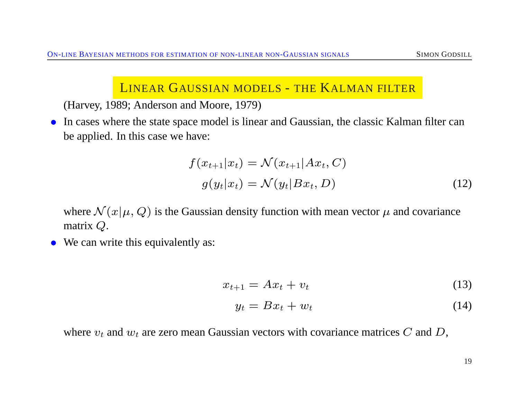### LINEAR GAUSSIAN MODELS - THE KALMAN FILTER

(Harvey, 1989; Anderson and Moore, 1979)

• In cases where the state space model is linear and Gaussian, the classic Kalman filter can be applied. In this case we have:

$$
f(x_{t+1}|x_t) = \mathcal{N}(x_{t+1}|Ax_t, C)
$$
  

$$
g(y_t|x_t) = \mathcal{N}(y_t|Bx_t, D)
$$
 (12)

where  $\mathcal{N}(x|\mu, Q)$  is the Gaussian density function with mean vector  $\mu$  and covariance matrix Q.

• We can write this equivalently as:

$$
x_{t+1} = Ax_t + v_t \tag{13}
$$

$$
y_t = Bx_t + w_t \tag{14}
$$

where  $v_t$  and  $w_t$  are zero mean Gaussian vectors with covariance matrices C and D,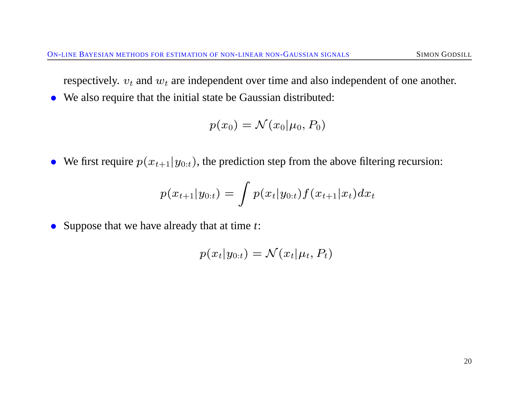respectively.  $v_t$  and  $w_t$  are independent over time and also independent of one another.

• We also require that the initial state be Gaussian distributed:

$$
p(x_0) = \mathcal{N}(x_0 | \mu_0, P_0)
$$

• We first require  $p(x_{t+1}|y_{0:t})$ , the prediction step from the above filtering recursion:

$$
p(x_{t+1}|y_{0:t}) = \int p(x_t|y_{0:t}) f(x_{t+1}|x_t) dx_t
$$

• Suppose that we have already that at time  $t$ :

$$
p(x_t|y_{0:t}) = \mathcal{N}(x_t|\mu_t, P_t)
$$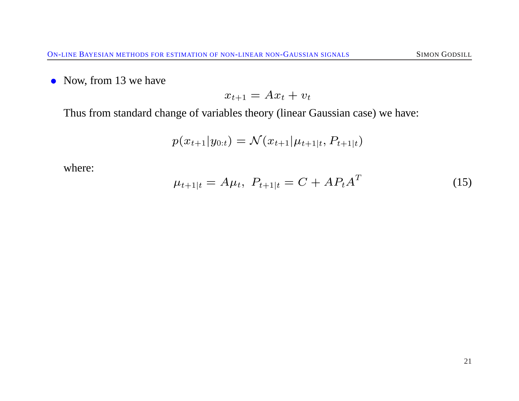• Now, from 13 we have

$$
x_{t+1} = Ax_t + v_t
$$

Thus from standard change of variables theory (linear Gaussian case) we have:

$$
p(x_{t+1}|y_{0:t}) = \mathcal{N}(x_{t+1}|\mu_{t+1|t}, P_{t+1|t})
$$

where:

$$
\mu_{t+1|t} = A\mu_t, \ P_{t+1|t} = C + AP_t A^T \tag{15}
$$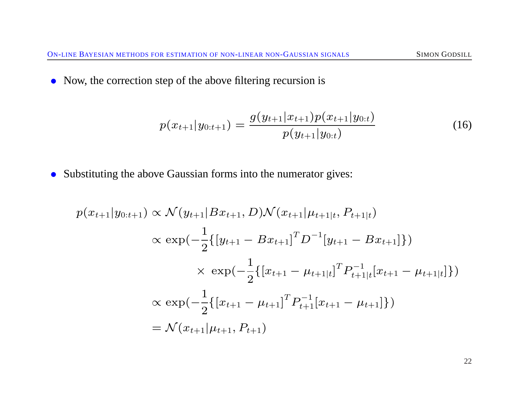• Now, the correction step of the above filtering recursion is

$$
p(x_{t+1}|y_{0:t+1}) = \frac{g(y_{t+1}|x_{t+1})p(x_{t+1}|y_{0:t})}{p(y_{t+1}|y_{0:t})}
$$
(16)

• Substituting the above Gaussian forms into the numerator gives:

$$
p(x_{t+1}|y_{0:t+1}) \propto \mathcal{N}(y_{t+1}|Bx_{t+1}, D)\mathcal{N}(x_{t+1}|\mu_{t+1|t}, P_{t+1|t})
$$
  
\n
$$
\propto \exp(-\frac{1}{2}\{[y_{t+1} - Bx_{t+1}]^T D^{-1}[y_{t+1} - Bx_{t+1}]\})
$$
  
\n
$$
\times \exp(-\frac{1}{2}\{[x_{t+1} - \mu_{t+1|t}]^T P_{t+1|t}^{-1}[x_{t+1} - \mu_{t+1|t}]\})
$$
  
\n
$$
\propto \exp(-\frac{1}{2}\{[x_{t+1} - \mu_{t+1}]^T P_{t+1}^{-1}[x_{t+1} - \mu_{t+1}]\})
$$
  
\n
$$
= \mathcal{N}(x_{t+1}|\mu_{t+1}, P_{t+1})
$$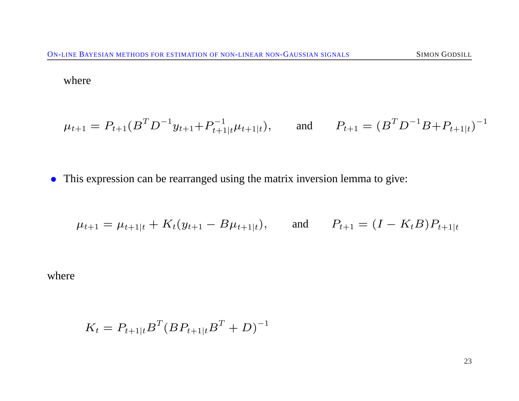where

$$
\mu_{t+1} = P_{t+1}(B^T D^{-1} y_{t+1} + P_{t+1|t}^{-1} \mu_{t+1|t}),
$$
 and  $P_{t+1} = (B^T D^{-1} B + P_{t+1|t})^{-1}$ 

• This expression can be rearranged using the matrix inversion lemma to give:

$$
\mu_{t+1} = \mu_{t+1|t} + K_t(y_{t+1} - B\mu_{t+1|t}),
$$
 and  $P_{t+1} = (I - K_t B)P_{t+1|t}$ 

where

$$
K_t = P_{t+1|t} B^T (B P_{t+1|t} B^T + D)^{-1}
$$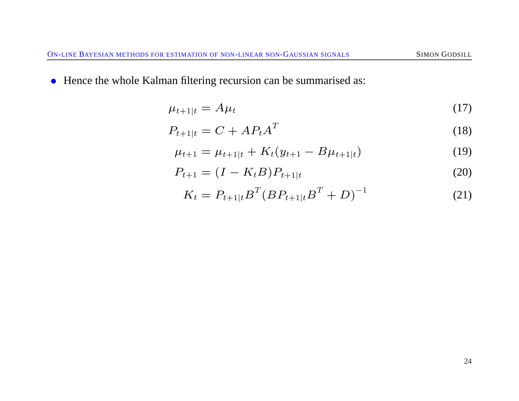• Hence the whole Kalman filtering recursion can be summarised as:

$$
\mu_{t+1|t} = A\mu_t \tag{17}
$$

$$
P_{t+1|t} = C + AP_t A^T \tag{18}
$$

$$
\mu_{t+1} = \mu_{t+1|t} + K_t(y_{t+1} - B\mu_{t+1|t})
$$
\n(19)

$$
P_{t+1} = (I - K_t B) P_{t+1|t}
$$
\n(20)

$$
K_t = P_{t+1|t} B^T (B P_{t+1|t} B^T + D)^{-1}
$$
 (21)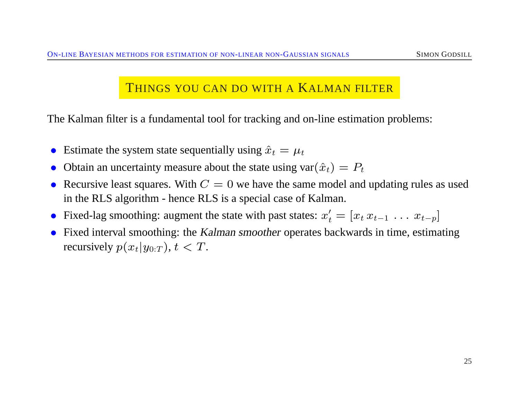#### THINGS YOU CAN DO WITH A KALMAN FILTER

The Kalman filter is a fundamental tool for tracking and on-line estimation problems:

- Estimate the system state sequentially using  $\hat{x}_t = \mu_t$
- Obtain an uncertainty measure about the state using  $var(\hat{x}_t) = P_t$
- Recursive least squares. With  $C = 0$  we have the same model and updating rules as used in the RLS algorithm - hence RLS is a special case of Kalman.
- Fixed-lag smoothing: augment the state with past states:  $x'_t = [x_t x_{t-1} \dots x_{t-p}]$
- Fixed interval smoothing: the Kalman smoother operates backwards in time, estimating recursively  $p(x_t|y_{0:T})$ ,  $t < T$ .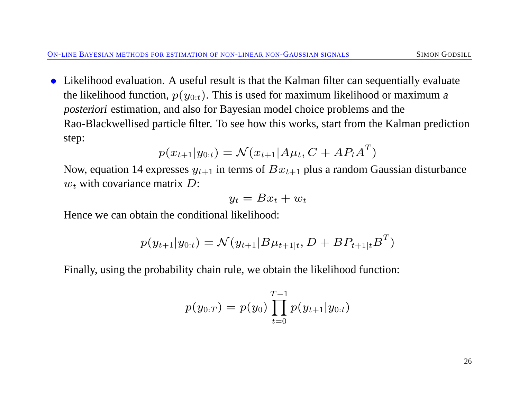• Likelihood evaluation. A useful result is that the Kalman filter can sequentially evaluate the likelihood function,  $p(y_{0:t})$ . This is used for maximum likelihood or maximum a posteriori estimation, and also for Bayesian model choice problems and the Rao-Blackwellised particle filter. To see how this works, start from the Kalman prediction step:

$$
p(x_{t+1}|y_{0:t}) = \mathcal{N}(x_{t+1}|A\mu_t, C + AP_t A^T)
$$

Now, equation 14 expresses  $y_{t+1}$  in terms of  $Bx_{t+1}$  plus a random Gaussian disturbance  $w_t$  with covariance matrix  $D$ :

$$
y_t = Bx_t + w_t
$$

Hence we can obtain the conditional likelihood:

$$
p(y_{t+1}|y_{0:t}) = \mathcal{N}(y_{t+1}|B\mu_{t+1|t}, D + BP_{t+1|t}B^T)
$$

Finally, using the probability chain rule, we obtain the likelihood function:

$$
p(y_{0:T}) = p(y_0) \prod_{t=0}^{T-1} p(y_{t+1}|y_{0:t})
$$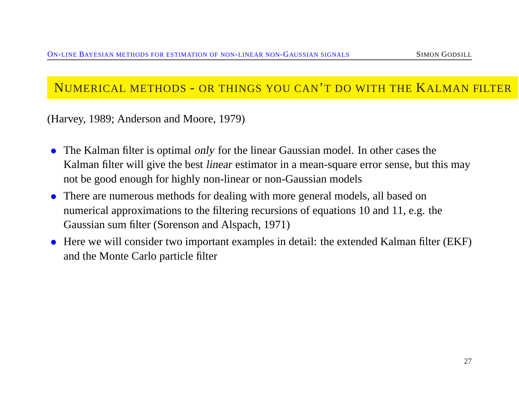#### NUMERICAL METHODS - OR THINGS YOU CAN'T DO WITH THE KALMAN FILTER

(Harvey, 1989; Anderson and Moore, 1979)

- The Kalman filter is optimal only for the linear Gaussian model. In other cases the Kalman filter will give the best *linear* estimator in a mean-square error sense, but this may not be good enough for highly non-linear or non-Gaussian models
- There are numerous methods for dealing with more general models, all based on numerical approximations to the filtering recursions of equations 10 and 11, e.g. the Gaussian sum filter (Sorenson and Alspach, 1971)
- Here we will consider two important examples in detail: the extended Kalman filter (EKF) and the Monte Carlo particle filter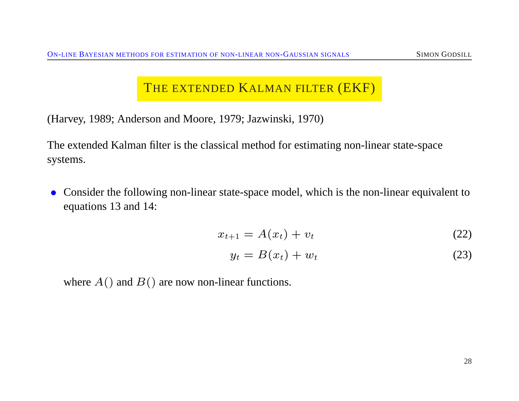### THE EXTENDED KALMAN FILTER (EKF)

(Harvey, 1989; Anderson and Moore, 1979; Jazwinski, 1970)

The extended Kalman filter is the classical method for estimating non-linear state-space systems.

• Consider the following non-linear state-space model, which is the non-linear equivalent to equations 13 and 14:

$$
x_{t+1} = A(x_t) + v_t \tag{22}
$$

$$
y_t = B(x_t) + w_t \tag{23}
$$

where  $A()$  and  $B()$  are now non-linear functions.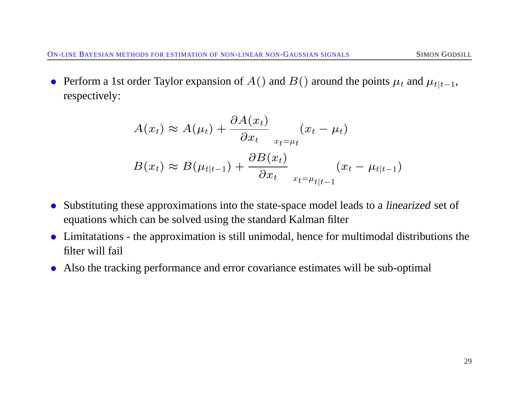• Perform a 1st order Taylor expansion of  $A()$  and  $B()$  around the points  $\mu_t$  and  $\mu_{t|t-1}$ , respectively:

$$
A(x_t) \approx A(\mu_t) + \frac{\partial A(x_t)}{\partial x_t} \qquad (x_t - \mu_t)
$$
  

$$
B(x_t) \approx B(\mu_{t|t-1}) + \frac{\partial B(x_t)}{\partial x_t} \qquad (x_t - \mu_{t|t-1})
$$

- Substituting these approximations into the state-space model leads to a *linearized* set of equations which can be solved using the standard Kalman filter
- Limitatations the approximation is still unimodal, hence for multimodal distributions the filter will fail
- Also the tracking performance and error covariance estimates will be sub-optimal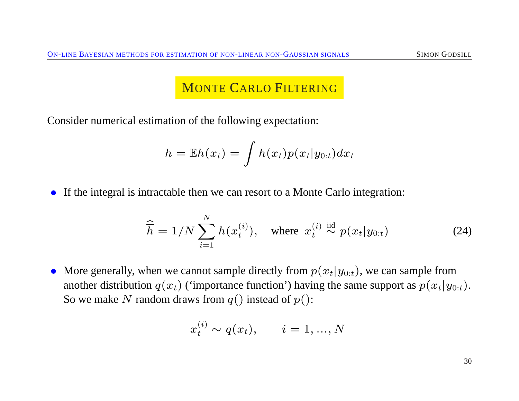### MONTE CARLO FILTERING

Consider numerical estimation of the following expectation:

$$
\overline{h} = \mathbb{E}h(x_t) = \int h(x_t) p(x_t | y_{0:t}) dx_t
$$

• If the integral is intractable then we can resort to a Monte Carlo integration:

$$
\widehat{\overline{h}} = 1/N \sum_{i=1}^{N} h(x_t^{(i)}), \quad \text{where } x_t^{(i)} \stackrel{\text{iid}}{\sim} p(x_t | y_{0:t}) \tag{24}
$$

• More generally, when we cannot sample directly from  $p(x_t|y_{0:t})$ , we can sample from another distribution  $q(x_t)$  ('importance function') having the same support as  $p(x_t|y_{0:t})$ . So we make N random draws from  $q()$  instead of  $p()$ :

$$
x_t^{(i)} \sim q(x_t), \qquad i = 1, ..., N
$$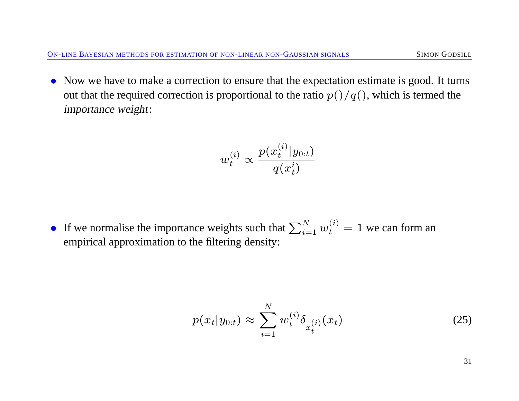• Now we have to make a correction to ensure that the expectation estimate is good. It turns out that the required correction is proportional to the ratio  $p()/q()$ , which is termed the importance weight:

$$
w_t^{(i)}\propto \frac{p(x_t^{(i)}|y_{0:t})}{q(x_t^i)}
$$

• If we normalise the importance weights such that  $\sum_{i=1}^{N} w_t^{(i)} = 1$  we can form an empirical approximation to the filtering density:

$$
p(x_t|y_{0:t}) \approx \sum_{i=1}^{N} w_t^{(i)} \delta_{x_t^{(i)}}(x_t)
$$
\n(25)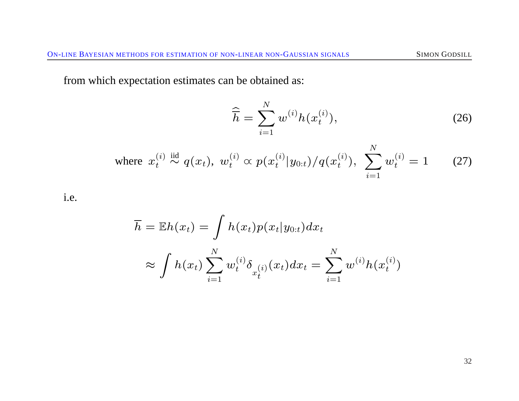from which expectation estimates can be obtained as:

$$
\widehat{\overline{h}} = \sum_{i=1}^{N} w^{(i)} h(x_t^{(i)}),
$$
\n(26)

where 
$$
x_t^{(i)}
$$
  $\stackrel{\text{iid}}{\sim} q(x_t)$ ,  $w_t^{(i)} \propto p(x_t^{(i)} | y_{0:t}) / q(x_t^{(i)})$ ,  $\sum_{i=1}^N w_t^{(i)} = 1$  (27)

i.e.

$$
\overline{h} = \mathbb{E}h(x_t) = \int h(x_t) p(x_t | y_{0:t}) dx_t
$$

$$
\approx \int h(x_t) \sum_{i=1}^N w_t^{(i)} \delta_{x_t^{(i)}}(x_t) dx_t = \sum_{i=1}^N w_t^{(i)} h(x_t^{(i)})
$$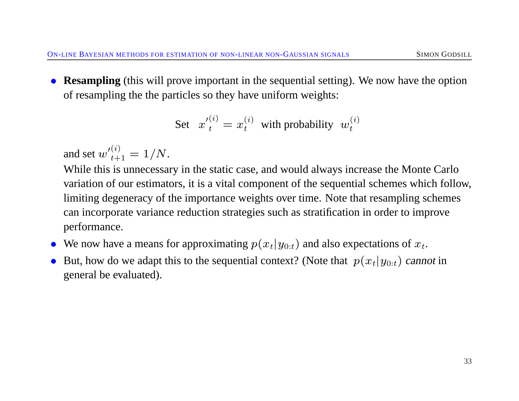• **Resampling** (this will prove important in the sequential setting). We now have the option of resampling the the particles so they have uniform weights:

Set 
$$
x_t^{\prime(i)} = x_t^{(i)}
$$
 with probability  $w_t^{(i)}$ 

and set  ${w'}_{t+1}^{(i)} = 1/N$ .

While this is unnecessary in the static case, and would always increase the Monte Carlo variation of our estimators, it is a vital component of the sequential schemes which follow, limiting degeneracy of the importance weights over time. Note that resampling schemes can incorporate variance reduction strategies such as stratification in order to improve performance.

- We now have a means for approximating  $p(x_t|y_{0:t})$  and also expectations of  $x_t$ .
- But, how do we adapt this to the sequential context? (Note that  $p(x_t|y_{0:t})$  cannot in general be evaluated).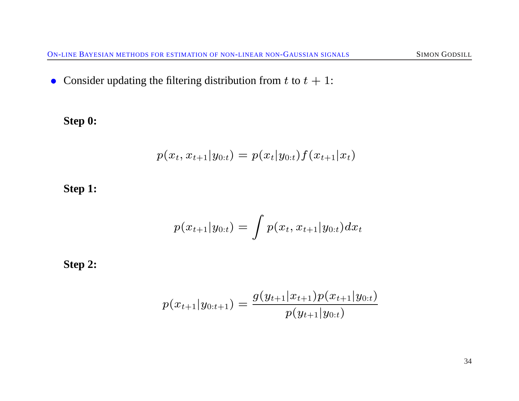• Consider updating the filtering distribution from  $t$  to  $t + 1$ :

**Step 0:**

$$
p(x_t, x_{t+1}|y_{0:t}) = p(x_t|y_{0:t})f(x_{t+1}|x_t)
$$

**Step 1:**

$$
p(x_{t+1}|y_{0:t}) = \int p(x_t,x_{t+1}|y_{0:t}) dx_t
$$

**Step 2:**

$$
p(x_{t+1}|y_{0:t+1}) = \frac{g(y_{t+1}|x_{t+1})p(x_{t+1}|y_{0:t})}{p(y_{t+1}|y_{0:t})}
$$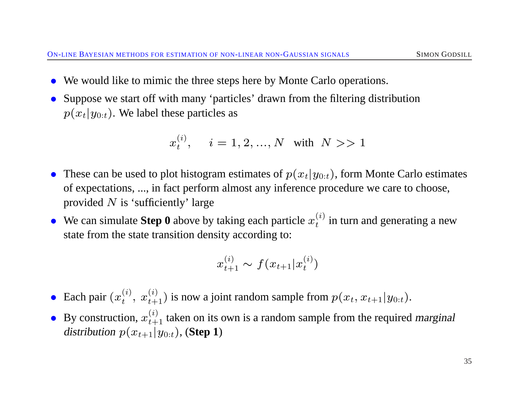- We would like to mimic the three steps here by Monte Carlo operations.
- Suppose we start off with many 'particles' drawn from the filtering distribution  $p(x_t|y_{0:t})$ . We label these particles as

$$
x_t^{(i)}, \quad i=1,2,...,N \text{ with } N >> 1
$$

- These can be used to plot histogram estimates of  $p(x_t|y_{0:t})$ , form Monte Carlo estimates of expectations, ..., in fact perform almost any inference procedure we care to choose, provided  $N$  is 'sufficiently' large
- We can simulate **Step 0** above by taking each particle  $x_t^{(i)}$  $t^{(i)}$  in turn and generating a new state from the state transition density according to:

$$
x_{t+1}^{(i)} \sim f(x_{t+1} | x_t^{(i)})
$$

- Each pair  $(x_t^{(i)})$  $t_t^{(i)}$ ,  $x_{t+1}^{(i)}$ ) is now a joint random sample from  $p(x_t, x_{t+1}|y_{0:t})$ .
- By construction,  $x_{t+1}^{(i)}$  taken on its own is a random sample from the required marginal distribution  $p(x_{t+1}|y_{0:t})$ , (**Step 1**)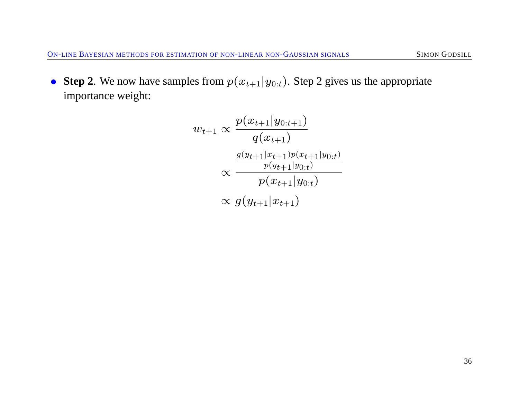• **Step 2**. We now have samples from  $p(x_{t+1}|y_{0:t})$ . Step 2 gives us the appropriate importance weight:

$$
w_{t+1} \propto \frac{p(x_{t+1}|y_{0:t+1})}{q(x_{t+1})}
$$

$$
\propto \frac{\frac{g(y_{t+1}|x_{t+1})p(x_{t+1}|y_{0:t})}{p(y_{t+1}|y_{0:t})}}{p(x_{t+1}|y_{0:t})}
$$

$$
\propto g(y_{t+1}|x_{t+1})
$$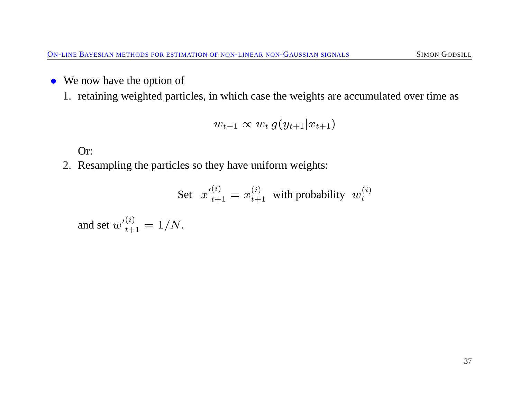• We now have the option of

1. retaining weighted particles, in which case the weights are accumulated over time as

$$
w_{t+1} \propto w_t g(y_{t+1} | x_{t+1})
$$

Or:

2. Resampling the particles so they have uniform weights:

Set 
$$
x'_{t+1}^{(i)} = x_{t+1}^{(i)}
$$
 with probability  $w_t^{(i)}$ 

and set  ${w'}_{t+1}^{(i)} = 1/N$ .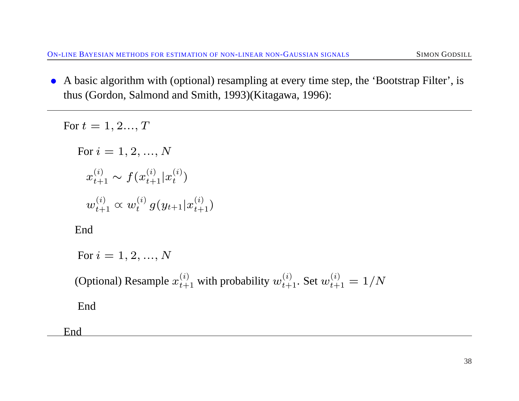• A basic algorithm with (optional) resampling at every time step, the 'Bootstrap Filter', is thus (Gordon, Salmond and Smith, 1993)(Kitagawa, 1996):

For  $t = 1, 2..., T$ For  $i = 1, 2, ..., N$  $x_{t+1}^{(i)} \sim f(x_{t+1}^{(i)} | x_t^{(i)}$  $\binom{u}{t}$  $w_{t+1}^{(i)} \varpropto w_t^{(i)}$  $_{t}^{\left( i\right) }\,g(y_{t+1}|x_{t+1}^{\left( i\right) })$ 

End

For  $i = 1, 2, ..., N$ 

(Optional) Resample  $x_{t+1}^{(i)}$  with probability  $w_{t+1}^{(i)}$ . Set  $w_{t+1}^{(i)} = 1/N$ 

End

End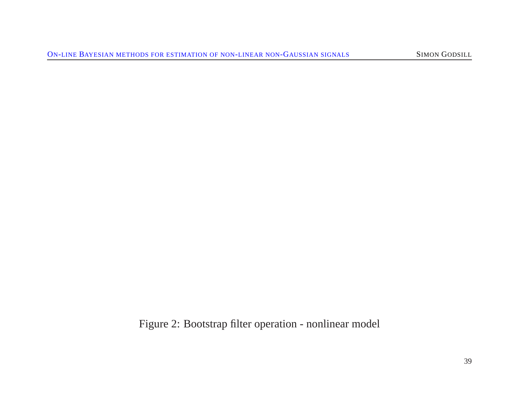Figure 2: Bootstrap filter operation - nonlinear model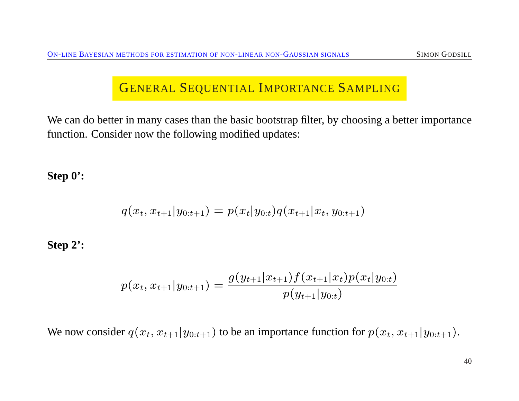#### GENERAL SEQUENTIAL IMPORTANCE SAMPLING

We can do better in many cases than the basic bootstrap filter, by choosing a better importance function. Consider now the following modified updates:

**Step 0':**

$$
q(x_t, x_{t+1} | y_{0:t+1}) = p(x_t | y_{0:t}) q(x_{t+1} | x_t, y_{0:t+1})
$$

**Step 2':**

$$
p(x_t, x_{t+1}|y_{0:t+1}) = \frac{g(y_{t+1}|x_{t+1})f(x_{t+1}|x_t)p(x_t|y_{0:t})}{p(y_{t+1}|y_{0:t})}
$$

We now consider  $q(x_t, x_{t+1}|y_{0:t+1})$  to be an importance function for  $p(x_t, x_{t+1}|y_{0:t+1})$ .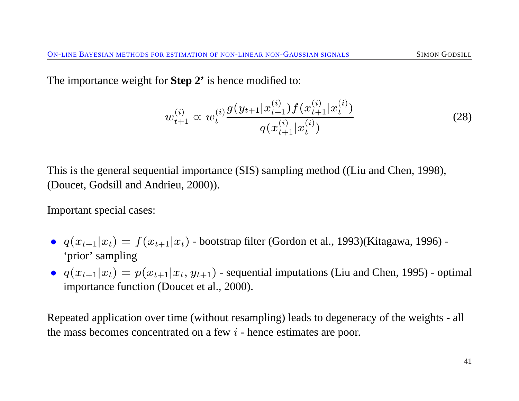The importance weight for **Step 2'** is hence modified to:

$$
w_{t+1}^{(i)} \propto w_t^{(i)} \frac{g(y_{t+1}|x_{t+1}^{(i)}) f(x_{t+1}^{(i)}|x_t^{(i)})}{q(x_{t+1}^{(i)}|x_t^{(i)})}
$$
(28)

This is the general sequential importance (SIS) sampling method ((Liu and Chen, 1998), (Doucet, Godsill and Andrieu, 2000)).

Important special cases:

- $q(x_{t+1}|x_t) = f(x_{t+1}|x_t)$  bootstrap filter (Gordon et al., 1993)(Kitagawa, 1996) -'prior' sampling
- $q(x_{t+1}|x_t) = p(x_{t+1}|x_t, y_{t+1})$  sequential imputations (Liu and Chen, 1995) optimal importance function (Doucet et al., 2000).

Repeated application over time (without resampling) leads to degeneracy of the weights - all the mass becomes concentrated on a few  $i$  - hence estimates are poor.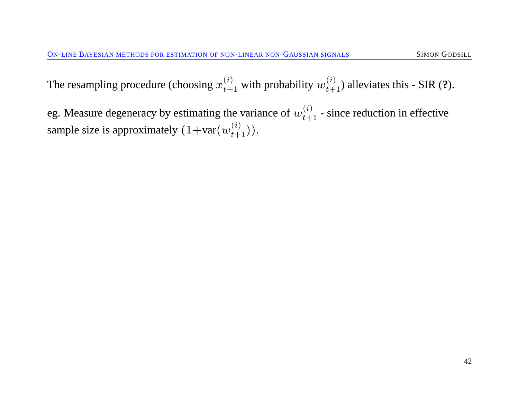The resampling procedure (choosing  $x_{t+1}^{(i)}$  with probability  $w_{t+1}^{(i)}$ ) alleviates this - SIR (?).

eg. Measure degeneracy by estimating the variance of  $w_{t+1}^{(i)}$  - since reduction in effective sample size is approximately  $(1+var(w_{t+1}^{(i)}))$ .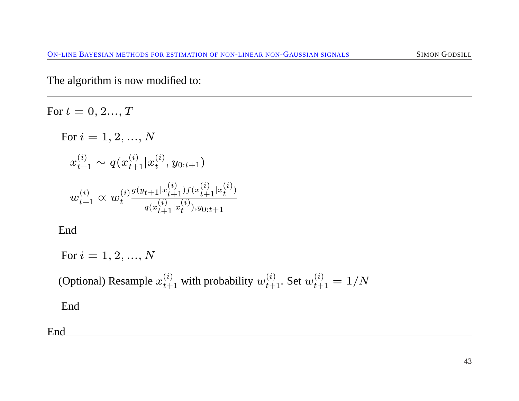The algorithm is now modified to:

For  $t = 0, 2..., T$ For  $i = 1, 2, ..., N$  $x_{t+1}^{(i)} \sim q(x_{t+1}^{(i)} | x_t^{(i)}$  $\left( \begin{smallmatrix} t \ t \end{smallmatrix} \right), y_{0:t+1})$  $w_{t+1}^{(i)} \varpropto w_{t}^{(i)}$ t  $g(y_{t+1}|x_{t+1}^{(i)})f(x_{t+1}^{(i)}|x_t^{(i)}$  $\binom{t}{t}$  $q(x_{t+1}^{(i)}|x_t^{(i)}$  $t^{(t)}$ ,  $y_{0:t+1}$ 

End

$$
\quad \text{For } i=1,2,...,N
$$

(Optional) Resample  $x_{t+1}^{(i)}$  with probability  $w_{t+1}^{(i)}$ . Set  $w_{t+1}^{(i)} = 1/N$ 

End

End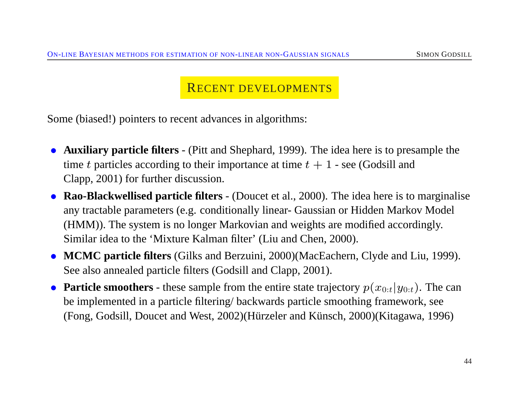#### RECENT DEVELOPMENTS

Some (biased!) pointers to recent advances in algorithms:

- **Auxiliary particle filters** (Pitt and Shephard, 1999). The idea here is to presample the time t particles according to their importance at time  $t + 1$  - see (Godsill and Clapp, 2001) for further discussion.
- **Rao-Blackwellised particle filters** (Doucet et al., 2000). The idea here is to marginalise any tractable parameters (e.g. conditionally linear- Gaussian or Hidden Markov Model (HMM)). The system is no longer Markovian and weights are modified accordingly. Similar idea to the 'Mixture Kalman filter' (Liu and Chen, 2000).
- **MCMC particle filters** (Gilks and Berzuini, 2000)(MacEachern, Clyde and Liu, 1999). See also annealed particle filters (Godsill and Clapp, 2001).
- **Particle smoothers** these sample from the entire state trajectory  $p(x_{0:t}|y_{0:t})$ . The can be implemented in a particle filtering/ backwards particle smoothing framework, see  $(Fong, Godsill, Doucet and West, 2002)$ (Hürzeler and Künsch, 2000)(Kitagawa, 1996)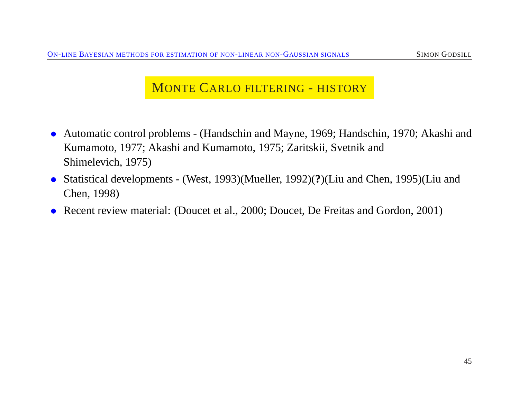### MONTE CARLO FILTERING - HISTORY

- Automatic control problems (Handschin and Mayne, 1969; Handschin, 1970; Akashi and Kumamoto, 1977; Akashi and Kumamoto, 1975; Zaritskii, Svetnik and Shimelevich, 1975)
- Statistical developments (West, 1993)(Mueller, 1992)(**?**)(Liu and Chen, 1995)(Liu and Chen, 1998)
- Recent review material: (Doucet et al., 2000; Doucet, De Freitas and Gordon, 2001)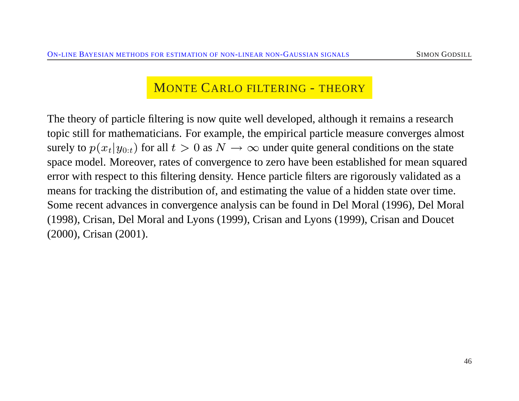### MONTE CARLO FILTERING - THEORY

The theory of particle filtering is now quite well developed, although it remains a research topic still for mathematicians. For example, the empirical particle measure converges almost surely to  $p(x_t|y_{0:t})$  for all  $t > 0$  as  $N \to \infty$  under quite general conditions on the state space model. Moreover, rates of convergence to zero have been established for mean squared error with respect to this filtering density. Hence particle filters are rigorously validated as a means for tracking the distribution of, and estimating the value of a hidden state over time. Some recent advances in convergence analysis can be found in Del Moral (1996), Del Moral (1998), Crisan, Del Moral and Lyons (1999), Crisan and Lyons (1999), Crisan and Doucet (2000), Crisan (2001).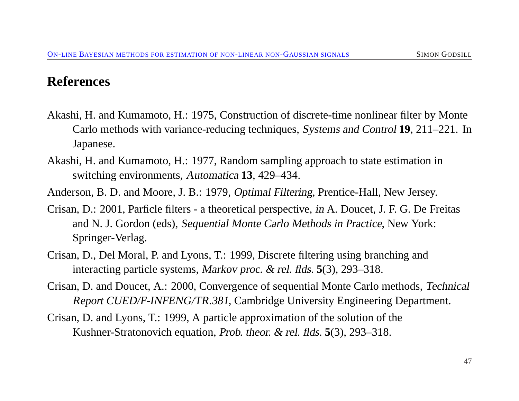#### **References**

- Akashi, H. and Kumamoto, H.: 1975, Construction of discrete-time nonlinear filter by Monte Carlo methods with variance-reducing techniques, Systems and Control **19**, 211–221. In Japanese.
- Akashi, H. and Kumamoto, H.: 1977, Random sampling approach to state estimation in switching environments, Automatica **13**, 429–434.
- Anderson, B. D. and Moore, J. B.: 1979, Optimal Filtering, Prentice-Hall, New Jersey.
- Crisan, D.: 2001, Parficle filters a theoretical perspective, in A. Doucet, J. F. G. De Freitas and N. J. Gordon (eds), Sequential Monte Carlo Methods in Practice, New York: Springer-Verlag.
- Crisan, D., Del Moral, P. and Lyons, T.: 1999, Discrete filtering using branching and interacting particle systems, Markov proc. & rel. flds. **5**(3), 293–318.
- Crisan, D. and Doucet, A.: 2000, Convergence of sequential Monte Carlo methods, Technical Report CUED/F-INFENG/TR.381, Cambridge University Engineering Department.
- Crisan, D. and Lyons, T.: 1999, A particle approximation of the solution of the Kushner-Stratonovich equation, Prob. theor. & rel. flds. **5**(3), 293–318.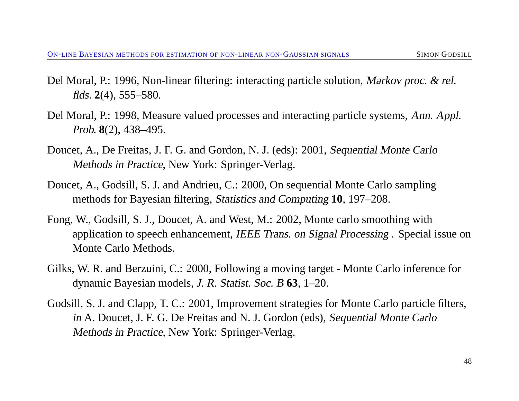- Del Moral, P.: 1996, Non-linear filtering: interacting particle solution, Markov proc. & rel. flds. **2**(4), 555–580.
- Del Moral, P.: 1998, Measure valued processes and interacting particle systems, Ann. Appl. Prob. **8**(2), 438–495.
- Doucet, A., De Freitas, J. F. G. and Gordon, N. J. (eds): 2001, Sequential Monte Carlo Methods in Practice, New York: Springer-Verlag.
- Doucet, A., Godsill, S. J. and Andrieu, C.: 2000, On sequential Monte Carlo sampling methods for Bayesian filtering, Statistics and Computing **10**, 197–208.
- Fong, W., Godsill, S. J., Doucet, A. and West, M.: 2002, Monte carlo smoothing with application to speech enhancement, IEEE Trans. on Signal Processing . Special issue on Monte Carlo Methods.
- Gilks, W. R. and Berzuini, C.: 2000, Following a moving target Monte Carlo inference for dynamic Bayesian models, J. R. Statist. Soc. <sup>B</sup> **63**, 1–20.
- Godsill, S. J. and Clapp, T. C.: 2001, Improvement strategies for Monte Carlo particle filters, in A. Doucet, J. F. G. De Freitas and N. J. Gordon (eds), Sequential Monte Carlo Methods in Practice, New York: Springer-Verlag.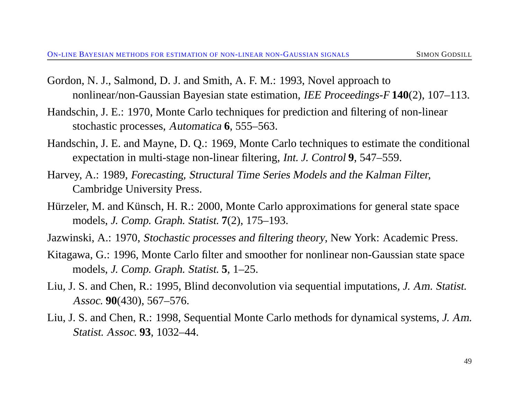- Gordon, N. J., Salmond, D. J. and Smith, A. F. M.: 1993, Novel approach to nonlinear/non-Gaussian Bayesian state estimation, IEE Proceedings-F **140**(2), 107–113.
- Handschin, J. E.: 1970, Monte Carlo techniques for prediction and filtering of non-linear stochastic processes, Automatica **6**, 555–563.
- Handschin, J. E. and Mayne, D. Q.: 1969, Monte Carlo techniques to estimate the conditional expectation in multi-stage non-linear filtering, Int. J. Control **9**, 547–559.
- Harvey, A.: 1989, Forecasting, Structural Time Series Models and the Kalman Filter, Cambridge University Press.
- Hürzeler, M. and Künsch, H. R.: 2000, Monte Carlo approximations for general state space models, J. Comp. Graph. Statist. **7**(2), 175–193.
- Jazwinski, A.: 1970, Stochastic processes and filtering theory, New York: Academic Press.
- Kitagawa, G.: 1996, Monte Carlo filter and smoother for nonlinear non-Gaussian state space models, J. Comp. Graph. Statist. **5**, 1–25.
- Liu, J. S. and Chen, R.: 1995, Blind deconvolution via sequential imputations, J. Am. Statist. Assoc. **90**(430), 567–576.
- Liu, J. S. and Chen, R.: 1998, Sequential Monte Carlo methods for dynamical systems, J. Am. Statist. Assoc. **93**, 1032–44.